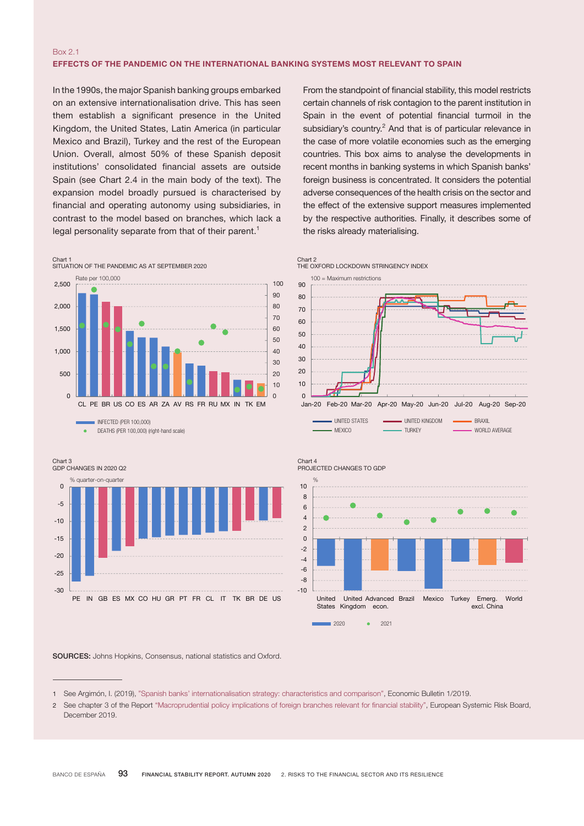## Box 2.1 EFFECTS OF THE PANDEMIC ON THE INTERNATIONAL BANKING SYSTEMS MOST RELEVANT TO SPAIN

In the 1990s, the major Spanish banking groups embarked on an extensive internationalisation drive. This has seen them establish a significant presence in the United Kingdom, the United States, Latin America (in particular Mexico and Brazil), Turkey and the rest of the European Union. Overall, almost 50% of these Spanish deposit institutions' consolidated financial assets are outside Spain (see Chart 2.4 in the main body of the text). The expansion model broadly pursued is characterised by financial and operating autonomy using subsidiaries, in contrast to the model based on branches, which lack a legal personality separate from that of their parent.<sup>1</sup>

From the standpoint of financial stability, this model restricts certain channels of risk contagion to the parent institution in Spain in the event of potential financial turmoil in the subsidiary's country. $2$  And that is of particular relevance in the case of more volatile economies such as the emerging countries. This box aims to analyse the developments in recent months in banking systems in which Spanish banks' foreign business is concentrated. It considers the potential adverse consequences of the health crisis on the sector and the effect of the extensive support measures implemented by the respective authorities. Finally, it describes some of the risks already materialising.







#### SOURCES: Johns Hopkins, Consensus, national statistics and Oxford.

#### Chart 2 THE OXFORD LOCKDOWN STRINGENCY INDEX

100 = Maximum restrictions



Jan-20 Feb-20 Mar-20 Apr-20 May-20 Jun-20 Jul-20 Aug-20 Sep-20 UNITED STATES **INITED KINGDOM** BRAXIL MEXICO **TURKEY WORLD AVERAGE** 

<sup>1</sup> See Argimón, I. (2019), "Spanish banks' [internationalisation](https://www.bde.es/f/webbde/SES/Secciones/Publicaciones/InformesBoletinesRevistas/ArticulosAnaliticos/19/T1/descargar/Files/be1901-art1e.pdf) strategy: characteristics and comparison", Economic Bulletin 1/2019.

<sup>2</sup> See chapter 3 of the Report ["Macroprudential](https://www.esrb.europa.eu/pub/pdf/reports/esrb.report_191213_macroprudentialpolicy_implications_of_foreign_branches~db9943c11b.en.pdf) policy implications of foreign branches relevant for financial stability", European Systemic Risk Board, December 2019.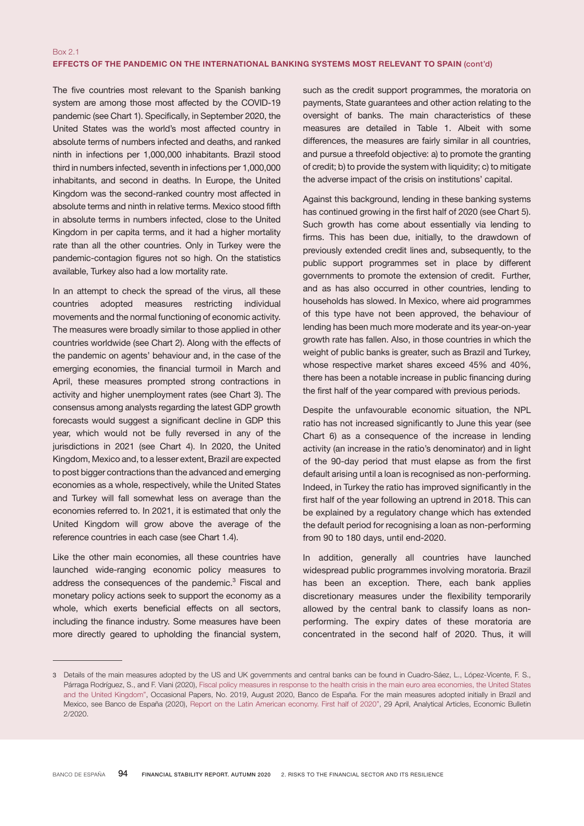The five countries most relevant to the Spanish banking system are among those most affected by the COVID-19 pandemic (see Chart 1). Specifically, in September 2020, the United States was the world's most affected country in absolute terms of numbers infected and deaths, and ranked ninth in infections per 1,000,000 inhabitants. Brazil stood third in numbers infected, seventh in infections per 1,000,000 inhabitants, and second in deaths. In Europe, the United Kingdom was the second-ranked country most affected in absolute terms and ninth in relative terms. Mexico stood fifth in absolute terms in numbers infected, close to the United Kingdom in per capita terms, and it had a higher mortality rate than all the other countries. Only in Turkey were the pandemic-contagion figures not so high. On the statistics available, Turkey also had a low mortality rate.

In an attempt to check the spread of the virus, all these countries adopted measures restricting individual movements and the normal functioning of economic activity. The measures were broadly similar to those applied in other countries worldwide (see Chart 2). Along with the effects of the pandemic on agents' behaviour and, in the case of the emerging economies, the financial turmoil in March and April, these measures prompted strong contractions in activity and higher unemployment rates (see Chart 3). The consensus among analysts regarding the latest GDP growth forecasts would suggest a significant decline in GDP this year, which would not be fully reversed in any of the jurisdictions in 2021 (see Chart 4). In 2020, the United Kingdom, Mexico and, to a lesser extent, Brazil are expected to post bigger contractions than the advanced and emerging economies as a whole, respectively, while the United States and Turkey will fall somewhat less on average than the economies referred to. In 2021, it is estimated that only the United Kingdom will grow above the average of the reference countries in each case (see Chart 1.4).

Like the other main economies, all these countries have launched wide-ranging economic policy measures to address the consequences of the pandemic.<sup>3</sup> Fiscal and monetary policy actions seek to support the economy as a whole, which exerts beneficial effects on all sectors, including the finance industry. Some measures have been more directly geared to upholding the financial system,

such as the credit support programmes, the moratoria on payments, State guarantees and other action relating to the oversight of banks. The main characteristics of these measures are detailed in Table 1. Albeit with some differences, the measures are fairly similar in all countries, and pursue a threefold objective: a) to promote the granting of credit; b) to provide the system with liquidity; c) to mitigate the adverse impact of the crisis on institutions' capital.

Against this background, lending in these banking systems has continued growing in the first half of 2020 (see Chart 5). Such growth has come about essentially via lending to firms. This has been due, initially, to the drawdown of previously extended credit lines and, subsequently, to the public support programmes set in place by different governments to promote the extension of credit. Further, and as has also occurred in other countries, lending to households has slowed. In Mexico, where aid programmes of this type have not been approved, the behaviour of lending has been much more moderate and its year-on-year growth rate has fallen. Also, in those countries in which the weight of public banks is greater, such as Brazil and Turkey, whose respective market shares exceed 45% and 40%, there has been a notable increase in public financing during the first half of the year compared with previous periods.

Despite the unfavourable economic situation, the NPL ratio has not increased significantly to June this year (see Chart 6) as a consequence of the increase in lending activity (an increase in the ratio's denominator) and in light of the 90-day period that must elapse as from the first default arising until a loan is recognised as non-performing. Indeed, in Turkey the ratio has improved significantly in the first half of the year following an uptrend in 2018. This can be explained by a regulatory change which has extended the default period for recognising a loan as non-performing from 90 to 180 days, until end-2020.

In addition, generally all countries have launched widespread public programmes involving moratoria. Brazil has been an exception. There, each bank applies discretionary measures under the flexibility temporarily allowed by the central bank to classify loans as nonperforming. The expiry dates of these moratoria are concentrated in the second half of 2020. Thus, it will

<sup>3</sup> Details of the main measures adopted by the US and UK governments and central banks can be found in Cuadro-Sáez, L., López-Vicente, F. S., Párraga Rodríguez, S., and F. Viani (2020), [Fiscal policy measures in response to the health crisis in the main euro area economies, the United States](https://www.bde.es/f/webbde/SES/Secciones/Publicaciones/PublicacionesSeriadas/DocumentosOcasionales/20/Files/do2019e.pdf) and the United [Kingdom",](https://www.bde.es/f/webbde/SES/Secciones/Publicaciones/PublicacionesSeriadas/DocumentosOcasionales/20/Files/do2019e.pdf) Occasional Papers, No. 2019, August 2020, Banco de España. For the main measures adopted initially in Brazil and Mexico, see Banco de España (2020), Report on the Latin American [economy.](https://www.bde.es/f/webbde/SES/Secciones/Publicaciones/InformesBoletinesRevistas/ArticulosAnaliticos/20/T2/descargar/Files/be2002-art11e.pdf) First half of 2020", 29 April, Analytical Articles, Economic Bulletin 2/2020.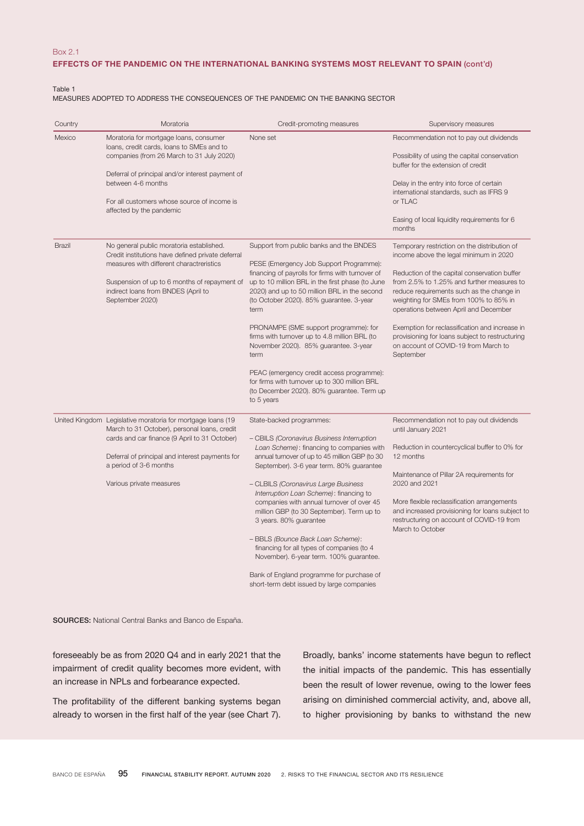## Box 2.1

# EFFECTS OF THE PANDEMIC ON THE INTERNATIONAL BANKING SYSTEMS MOST RELEVANT TO SPAIN (cont'd)

Table 1

MEASURES ADOPTED TO ADDRESS THE CONSEQUENCES OF THE PANDEMIC ON THE BANKING SECTOR

| Country | Moratoria                                                                                                                                                                                                                                                                             | Credit-promoting measures                                                                                                                                                                                                                                                                                                                                                                                                                                                                                                                                                                                                                        | Supervisory measures                                                                                                                                                                                                                                                                                                                                                                                                                                                           |
|---------|---------------------------------------------------------------------------------------------------------------------------------------------------------------------------------------------------------------------------------------------------------------------------------------|--------------------------------------------------------------------------------------------------------------------------------------------------------------------------------------------------------------------------------------------------------------------------------------------------------------------------------------------------------------------------------------------------------------------------------------------------------------------------------------------------------------------------------------------------------------------------------------------------------------------------------------------------|--------------------------------------------------------------------------------------------------------------------------------------------------------------------------------------------------------------------------------------------------------------------------------------------------------------------------------------------------------------------------------------------------------------------------------------------------------------------------------|
| Mexico  | Moratoria for mortgage loans, consumer<br>loans, credit cards, loans to SMEs and to<br>companies (from 26 March to 31 July 2020)<br>Deferral of principal and/or interest payment of<br>between 4-6 months<br>For all customers whose source of income is<br>affected by the pandemic | None set                                                                                                                                                                                                                                                                                                                                                                                                                                                                                                                                                                                                                                         | Recommendation not to pay out dividends<br>Possibility of using the capital conservation<br>buffer for the extension of credit<br>Delay in the entry into force of certain<br>international standards, such as IFRS 9<br>or TLAC<br>Easing of local liquidity requirements for 6<br>months                                                                                                                                                                                     |
| Brazil  | No general public moratoria established.<br>Credit institutions have defined private deferral<br>measures with different charactreristics<br>Suspension of up to 6 months of repayment of<br>indirect loans from BNDES (April to<br>September 2020)                                   | Support from public banks and the BNDES<br>PESE (Emergency Job Support Programme):<br>financing of payrolls for firms with turnover of<br>up to 10 million BRL in the first phase (to June<br>2020) and up to 50 million BRL in the second<br>(to October 2020). 85% guarantee. 3-year<br>term<br>PRONAMPE (SME support programme): for<br>firms with turnover up to 4.8 million BRL (to<br>November 2020). 85% guarantee. 3-year<br>term<br>PEAC (emergency credit access programme):<br>for firms with turnover up to 300 million BRL<br>(to December 2020). 80% guarantee. Term up<br>to 5 years                                              | Temporary restriction on the distribution of<br>income above the legal minimum in 2020<br>Reduction of the capital conservation buffer<br>from 2.5% to 1.25% and further measures to<br>reduce requirements such as the change in<br>weighting for SMEs from 100% to 85% in<br>operations between April and December<br>Exemption for reclassification and increase in<br>provisioning for loans subject to restructuring<br>on account of COVID-19 from March to<br>September |
|         | United Kingdom Legislative moratoria for mortgage loans (19<br>March to 31 October), personal loans, credit<br>cards and car finance (9 April to 31 October)<br>Deferral of principal and interest payments for<br>a period of 3-6 months<br>Various private measures                 | State-backed programmes:<br>- CBILS (Coronavirus Business Interruption<br>Loan Scheme): financing to companies with<br>annual turnover of up to 45 million GBP (to 30<br>September). 3-6 year term. 80% guarantee<br>- CLBILS (Coronavirus Large Business<br>Interruption Loan Scheme): financing to<br>companies with annual turnover of over 45<br>million GBP (to 30 September). Term up to<br>3 years. 80% guarantee<br>- BBLS (Bounce Back Loan Scheme):<br>financing for all types of companies (to 4<br>November). 6-year term. 100% guarantee.<br>Bank of England programme for purchase of<br>short-term debt issued by large companies | Recommendation not to pay out dividends<br>until January 2021<br>Reduction in countercyclical buffer to 0% for<br>12 months<br>Maintenance of Pillar 2A requirements for<br>2020 and 2021<br>More flexible reclassification arrangements<br>and increased provisioning for loans subject to<br>restructuring on account of COVID-19 from<br>March to October                                                                                                                   |

SOURCES: National Central Banks and Banco de España.

foreseeably be as from 2020 Q4 and in early 2021 that the impairment of credit quality becomes more evident, with an increase in NPLs and forbearance expected.

The profitability of the different banking systems began already to worsen in the first half of the year (see Chart 7). Broadly, banks' income statements have begun to reflect the initial impacts of the pandemic. This has essentially been the result of lower revenue, owing to the lower fees arising on diminished commercial activity, and, above all, to higher provisioning by banks to withstand the new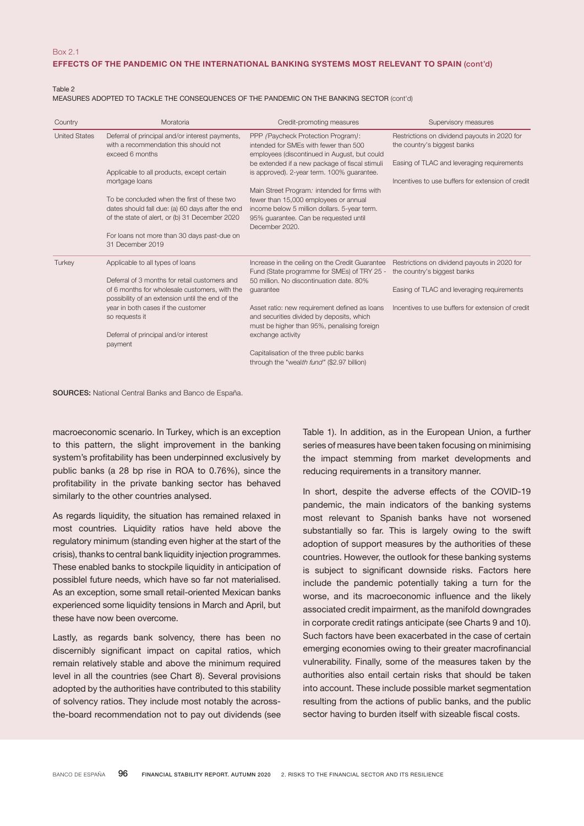### EFFECTS OF THE PANDEMIC ON THE INTERNATIONAL BANKING SYSTEMS MOST RELEVANT TO SPAIN (cont'd)

Table 2

MEASURES ADOPTED TO TACKLE THE CONSEQUENCES OF THE PANDEMIC ON THE BANKING SECTOR (cont'd)

| Country              | Moratoria                                                                                                                                                 | Credit-promoting measures                                                                                                                                                                                                   | Supervisory measures                                                                                                      |
|----------------------|-----------------------------------------------------------------------------------------------------------------------------------------------------------|-----------------------------------------------------------------------------------------------------------------------------------------------------------------------------------------------------------------------------|---------------------------------------------------------------------------------------------------------------------------|
| <b>United States</b> | Deferral of principal and/or interest payments,<br>with a recommendation this should not<br>exceed 6 months<br>Applicable to all products, except certain | PPP (Paycheck Protection Program):<br>intended for SMEs with fewer than 500<br>employees (discontinued in August, but could<br>be extended if a new package of fiscal stimuli<br>is approved). 2-year term. 100% quarantee. | Restrictions on dividend payouts in 2020 for<br>the country's biggest banks<br>Easing of TLAC and leveraging requirements |
|                      | mortgage loans                                                                                                                                            | Main Street Program. intended for firms with                                                                                                                                                                                | Incentives to use buffers for extension of credit                                                                         |
|                      | To be concluded when the first of these two<br>dates should fall due: (a) 60 days after the end<br>of the state of alert, or (b) 31 December 2020         | fewer than 15,000 employees or annual<br>income below 5 million dollars. 5-year term.<br>95% quarantee. Can be requested until<br>December 2020.                                                                            |                                                                                                                           |
|                      | For loans not more than 30 days past-due on<br>31 December 2019                                                                                           |                                                                                                                                                                                                                             |                                                                                                                           |
| Turkey               | Applicable to all types of loans                                                                                                                          | Increase in the ceiling on the Credit Guarantee<br>Fund (State programme for SMEs) of TRY 25 -                                                                                                                              | Restrictions on dividend payouts in 2020 for<br>the country's biggest banks                                               |
|                      | Deferral of 3 months for retail customers and<br>of 6 months for wholesale customers, with the<br>possibility of an extension until the end of the        | 50 million. No discontinuation date, 80%<br>guarantee                                                                                                                                                                       | Easing of TLAC and leveraging requirements                                                                                |
|                      | year in both cases if the customer<br>so requests it                                                                                                      | Asset ratio: new requirement defined as loans<br>and securities divided by deposits, which<br>must be higher than 95%, penalising foreign                                                                                   | Incentives to use buffers for extension of credit                                                                         |
|                      | Deferral of principal and/or interest<br>payment                                                                                                          | exchange activity                                                                                                                                                                                                           |                                                                                                                           |
|                      |                                                                                                                                                           | Capitalisation of the three public banks<br>through the "wealth fund" (\$2.97 billion)                                                                                                                                      |                                                                                                                           |

SOURCES: National Central Banks and Banco de España.

macroeconomic scenario. In Turkey, which is an exception to this pattern, the slight improvement in the banking system's profitability has been underpinned exclusively by public banks (a 28 bp rise in ROA to 0.76%), since the profitability in the private banking sector has behaved similarly to the other countries analysed.

As regards liquidity, the situation has remained relaxed in most countries. Liquidity ratios have held above the regulatory minimum (standing even higher at the start of the crisis), thanks to central bank liquidity injection programmes. These enabled banks to stockpile liquidity in anticipation of possiblel future needs, which have so far not materialised. As an exception, some small retail-oriented Mexican banks experienced some liquidity tensions in March and April, but these have now been overcome.

Lastly, as regards bank solvency, there has been no discernibly significant impact on capital ratios, which remain relatively stable and above the minimum required level in all the countries (see Chart 8). Several provisions adopted by the authorities have contributed to this stability of solvency ratios. They include most notably the acrossthe-board recommendation not to pay out dividends (see Table 1). In addition, as in the European Union, a further series of measures have been taken focusing on minimising the impact stemming from market developments and reducing requirements in a transitory manner.

In short, despite the adverse effects of the COVID-19 pandemic, the main indicators of the banking systems most relevant to Spanish banks have not worsened substantially so far. This is largely owing to the swift adoption of support measures by the authorities of these countries. However, the outlook for these banking systems is subject to significant downside risks. Factors here include the pandemic potentially taking a turn for the worse, and its macroeconomic influence and the likely associated credit impairment, as the manifold downgrades in corporate credit ratings anticipate (see Charts 9 and 10). Such factors have been exacerbated in the case of certain emerging economies owing to their greater macrofinancial vulnerability. Finally, some of the measures taken by the authorities also entail certain risks that should be taken into account. These include possible market segmentation resulting from the actions of public banks, and the public sector having to burden itself with sizeable fiscal costs.